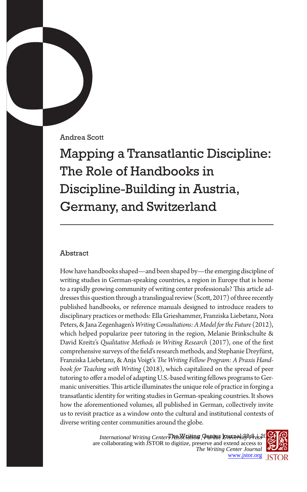Andrea Scott

Mapping a Transatlantic Discipline: The Role of Handbooks in Discipline-Building in Austria, Germany, and Switzerland

## Abstract

How have handbooks shaped—and been shaped by—the emerging discipline of writing studies in German-speaking countries, a region in Europe that is home to a rapidly growing community of writing center professionals? This article addresses this question through a translingual review (Scott, 2017) of three recently published handbooks, or reference manuals designed to introduce readers to disciplinary practices or methods: Ella Grieshammer, Franziska Liebetanz, Nora Peters, & Jana Zegenhagen's *Writing Consultations: A Model for the Future* (2012), which helped popularize peer tutoring in the region, Melanie Brinkschulte & David Kreitz's *Qualitative Methods in Writing Research* (2017), one of the first comprehensive surveys of the field's research methods, and Stephanie Dreyfürst, Franziska Liebetanz, & Anja Voigt's *The Writing Fellow Program: A Praxis Handbook for Teaching with Writing* (2018), which capitalized on the spread of peer tutoring to offer a model of adapting U.S.-based writing fellows programs to Germanic universities. This article illuminates the unique role of practice in forging a transatlantic identity for writing studies in German-speaking countries. It shows how the aforementioned volumes, all published in German, collectively invite us to revisit practice as a window onto the cultural and institutional contexts of diverse writing center communities around the globe.

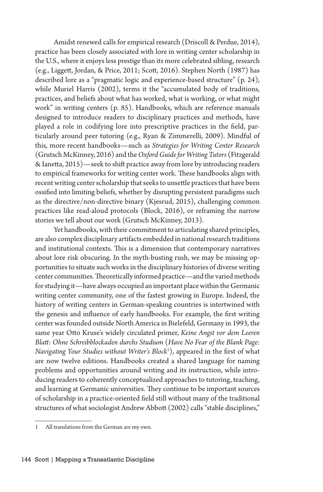Amidst renewed calls for empirical research (Driscoll & Perdue, 2014), practice has been closely associated with lore in writing center scholarship in the U.S., where it enjoys less prestige than its more celebrated sibling, research (e.g., Liggett, Jordan, & Price, 2011; Scott, 2016). Stephen North (1987) has described lore as a "pragmatic logic and experience-based structure" (p. 24), while Muriel Harris (2002), terms it the "accumulated body of traditions, practices, and beliefs about what has worked, what is working, or what might work" in writing centers (p. 85). Handbooks, which are reference manuals designed to introduce readers to disciplinary practices and methods, have played a role in codifying lore into prescriptive practices in the field, particularly around peer tutoring (e.g., Ryan & Zimmerelli, 2009). Mindful of this, more recent handbooks—such as *Strategies for Writing Center Research*  (Grutsch McKinney, 2016) and the *Oxford Guide for Writing Tutors* (Fitzgerald & Ianetta, 2015)—seek to shift practice away from lore by introducing readers to empirical frameworks for writing center work. These handbooks align with recent writing center scholarship that seeks to unsettle practices that have been ossified into limiting beliefs, whether by disrupting persistent paradigms such as the directive/non-directive binary (Kjesrud, 2015), challenging common practices like read-aloud protocols (Block, 2016), or reframing the narrow stories we tell about our work (Grutsch McKinney, 2013).

Yet handbooks, with their commitment to articulating shared principles, are also complex disciplinary artifacts embedded in national research traditions and institutional contexts. This is a dimension that contemporary narratives about lore risk obscuring. In the myth-busting rush, we may be missing opportunities to situate such works in the disciplinary histories of diverse writing center communities. Theoretically informed practice—and the varied methods for studying it—have always occupied an important place within the Germanic writing center community, one of the fastest growing in Europe. Indeed, the history of writing centers in German-speaking countries is intertwined with the genesis and influence of early handbooks. For example, the first writing center was founded outside North America in Bielefeld, Germany in 1993, the same year Otto Kruse's widely circulated primer, *Keine Angst vor dem Leeren Blatt: Ohne Schreibblockaden durchs Studium* (*Have No Fear of the Blank Page: Navigating Your Studies without Writer's Block*<sup>1</sup> ), appeared in the first of what are now twelve editions. Handbooks created a shared language for naming problems and opportunities around writing and its instruction, while introducing readers to coherently conceptualized approaches to tutoring, teaching, and learning at Germanic universities. They continue to be important sources of scholarship in a practice-oriented field still without many of the traditional structures of what sociologist Andrew Abbott (2002) calls "stable disciplines,"

<sup>1</sup> All translations from the German are my own.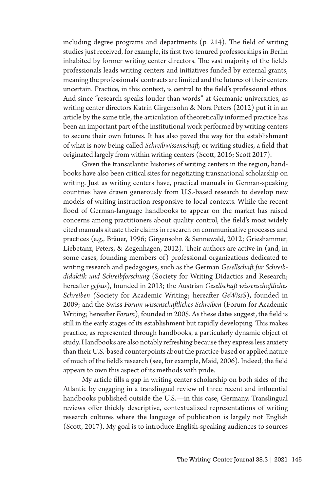including degree programs and departments (p. 214). The field of writing studies just received, for example, its first two tenured professorships in Berlin inhabited by former writing center directors. The vast majority of the field's professionals leads writing centers and initiatives funded by external grants, meaning the professionals' contracts are limited and the futures of their centers uncertain. Practice, in this context, is central to the field's professional ethos. And since "research speaks louder than words" at Germanic universities, as writing center directors Katrin Girgensohn & Nora Peters (2012) put it in an article by the same title, the articulation of theoretically informed practice has been an important part of the institutional work performed by writing centers to secure their own futures. It has also paved the way for the establishment of what is now being called *Schreibwissenschaft,* or writing studies, a field that originated largely from within writing centers (Scott, 2016; Scott 2017).

Given the transatlantic histories of writing centers in the region, handbooks have also been critical sites for negotiating transnational scholarship on writing. Just as writing centers have, practical manuals in German-speaking countries have drawn generously from U.S.-based research to develop new models of writing instruction responsive to local contexts. While the recent flood of German-language handbooks to appear on the market has raised concerns among practitioners about quality control, the field's most widely cited manuals situate their claims in research on communicative processes and practices (e.g., Bräuer, 1996; Girgensohn & Sennewald, 2012; Grieshammer, Liebetanz, Peters, & Zegenhagen, 2012). Their authors are active in (and, in some cases, founding members of) professional organizations dedicated to writing research and pedagogies, such as the German *Gesellschaft für Schreibdidaktik und Schreibforschung* (Society for Writing Didactics and Research; hereafter *gefsus*), founded in 2013; the Austrian *Gesellschaft wissenschaftliches Schreiben (*Society for Academic Writing; hereafter *GeWissS*), founded in 2009; and the Swiss *Forum wissenschaftliches Schreiben* (Forum for Academic Writing; hereafter *Forum*), founded in 2005. As these dates suggest, the field is still in the early stages of its establishment but rapidly developing. This makes practice, as represented through handbooks, a particularly dynamic object of study. Handbooks are also notably refreshing because they express less anxiety than their U.S.-based counterpoints about the practice-based or applied nature of much of the field's research (see, for example, Maid, 2006). Indeed, the field appears to own this aspect of its methods with pride.

My article fills a gap in writing center scholarship on both sides of the Atlantic by engaging in a translingual review of three recent and influential handbooks published outside the U.S.—in this case, Germany. Translingual reviews offer thickly descriptive, contextualized representations of writing research cultures where the language of publication is largely not English (Scott, 2017). My goal is to introduce English-speaking audiences to sources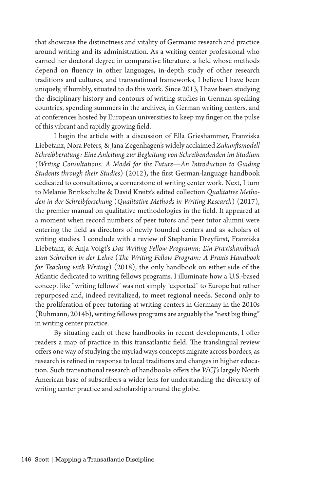that showcase the distinctness and vitality of Germanic research and practice around writing and its administration. As a writing center professional who earned her doctoral degree in comparative literature, a field whose methods depend on fluency in other languages, in-depth study of other research traditions and cultures, and transnational frameworks, I believe I have been uniquely, if humbly, situated to do this work. Since 2013, I have been studying the disciplinary history and contours of writing studies in German-speaking countries, spending summers in the archives, in German writing centers, and at conferences hosted by European universities to keep my finger on the pulse of this vibrant and rapidly growing field.

I begin the article with a discussion of Ella Grieshammer, Franziska Liebetanz, Nora Peters, & Jana Zegenhagen's widely acclaimed *Zukunftsmodell Schreibberatung: Eine Anleitung zur Begleitung von Schreibendenden im Studium (Writing Consultations: A Model for the Future—An Introduction to Guiding Students through their Studies*) (2012), the first German-language handbook dedicated to consultations, a cornerstone of writing center work. Next, I turn to Melanie Brinkschulte & David Kreitz's edited collection *Qualitative Methoden in der Schreibforschung* (*Qualitative Methods in Writing Research*) (2017), the premier manual on qualitative methodologies in the field. It appeared at a moment when record numbers of peer tutors and peer tutor alumni were entering the field as directors of newly founded centers and as scholars of writing studies. I conclude with a review of Stephanie Dreyfürst, Franziska Liebetanz, & Anja Voigt's *Das Writing Fellow-Programm: Ein Praxishandbuch zum Schreiben in der Lehre* (*The Writing Fellow Program: A Praxis Handbook for Teaching with Writing*) (2018), the only handbook on either side of the Atlantic dedicated to writing fellows programs. I illuminate how a U.S.-based concept like "writing fellows" was not simply "exported" to Europe but rather repurposed and, indeed revitalized, to meet regional needs. Second only to the proliferation of peer tutoring at writing centers in Germany in the 2010s (Ruhmann, 2014b), writing fellows programs are arguably the "next big thing" in writing center practice.

By situating each of these handbooks in recent developments, I offer readers a map of practice in this transatlantic field. The translingual review offers one way of studying the myriad ways concepts migrate across borders, as research is refined in response to local traditions and changes in higher education. Such transnational research of handbooks offers the *WCJ's* largely North American base of subscribers a wider lens for understanding the diversity of writing center practice and scholarship around the globe.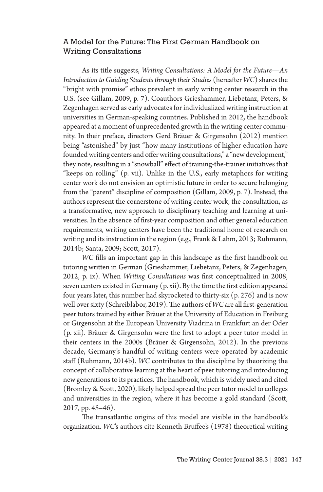### A Model for the Future: The First German Handbook on Writing Consultations

As its title suggests, *Writing Consultations: A Model for the Future—An Introduction to Guiding Students through their Studies* (hereafter *WC*) shares the "bright with promise" ethos prevalent in early writing center research in the U.S. (see Gillam, 2009, p. 7). Coauthors Grieshammer, Liebetanz, Peters, & Zegenhagen served as early advocates for individualized writing instruction at universities in German-speaking countries. Published in 2012, the handbook appeared at a moment of unprecedented growth in the writing center community. In their preface, directors Gerd Bräuer & Girgensohn (2012) mention being "astonished" by just "how many institutions of higher education have founded writing centers and offer writing consultations," a "new development," they note, resulting in a "snowball" effect of training-the-trainer initiatives that "keeps on rolling" (p. vii). Unlike in the U.S., early metaphors for writing center work do not envision an optimistic future in order to secure belonging from the "parent" discipline of composition (Gillam, 2009, p. 7). Instead, the authors represent the cornerstone of writing center work, the consultation, as a transformative, new approach to disciplinary teaching and learning at universities. In the absence of first-year composition and other general education requirements, writing centers have been the traditional home of research on writing and its instruction in the region (e.g., Frank & Lahm, 2013; Ruhmann, 2014b; Santa, 2009; Scott, 2017).

*WC* fills an important gap in this landscape as the first handbook on tutoring written in German (Grieshammer, Liebetanz, Peters, & Zegenhagen, 2012, p. ix). When *Writing Consultations* was first conceptualized in 2008, seven centers existed in Germany (p. xii). By the time the first edition appeared four years later, this number had skyrocketed to thirty-six (p. 276) and is now well over sixty (Schreiblabor, 2019). The authors of *WC* are all first-generation peer tutors trained by either Bräuer at the University of Education in Freiburg or Girgensohn at the European University Viadrina in Frankfurt an der Oder (p. xii). Bräuer & Girgensohn were the first to adopt a peer tutor model in their centers in the 2000s (Bräuer & Girgensohn, 2012). In the previous decade, Germany's handful of writing centers were operated by academic staff (Ruhmann, 2014b). *WC* contributes to the discipline by theorizing the concept of collaborative learning at the heart of peer tutoring and introducing new generations to its practices. The handbook, which is widely used and cited (Bromley & Scott, 2020), likely helped spread the peer tutor model to colleges and universities in the region, where it has become a gold standard (Scott, 2017, pp. 45–46).

The transatlantic origins of this model are visible in the handbook's organization. *WC*'s authors cite Kenneth Bruffee's (1978) theoretical writing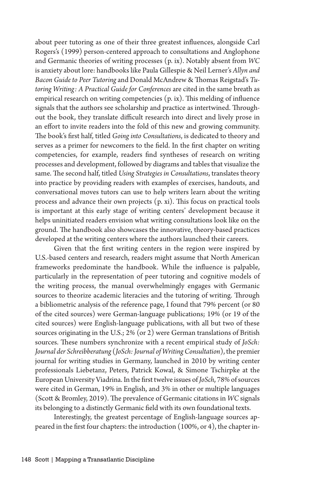about peer tutoring as one of their three greatest influences, alongside Carl Rogers's (1999) person-centered approach to consultations and Anglophone and Germanic theories of writing processes (p. ix). Notably absent from *WC*  is anxiety about lore: handbooks like Paula Gillespie & Neil Lerner's *Allyn and Bacon Guide to Peer Tutoring* and Donald McAndrew & Thomas Reigstad's *Tutoring Writing: A Practical Guide for Conferences* are cited in the same breath as empirical research on writing competencies (p. ix). This melding of influence signals that the authors see scholarship and practice as intertwined. Throughout the book, they translate difficult research into direct and lively prose in an effort to invite readers into the fold of this new and growing community. The book's first half, titled *Going into Consultations*, is dedicated to theory and serves as a primer for newcomers to the field. In the first chapter on writing competencies, for example, readers find syntheses of research on writing processes and development, followed by diagrams and tables that visualize the same. The second half, titled *Using Strategies in Consultations*, translates theory into practice by providing readers with examples of exercises, handouts, and conversational moves tutors can use to help writers learn about the writing process and advance their own projects (p. xi). This focus on practical tools is important at this early stage of writing centers' development because it helps uninitiated readers envision what writing consultations look like on the ground. The handbook also showcases the innovative, theory-based practices developed at the writing centers where the authors launched their careers.

Given that the first writing centers in the region were inspired by U.S.-based centers and research, readers might assume that North American frameworks predominate the handbook. While the influence is palpable, particularly in the representation of peer tutoring and cognitive models of the writing process, the manual overwhelmingly engages with Germanic sources to theorize academic literacies and the tutoring of writing. Through a bibliometric analysis of the reference page, I found that 79% percent (or 80 of the cited sources) were German-language publications; 19% (or 19 of the cited sources) were English-language publications, with all but two of these sources originating in the U.S.; 2% (or 2) were German translations of British sources. These numbers synchronize with a recent empirical study of *JoSch: Journal der Schreibberatung* (*JoSch: Journal of Writing Consultation*), the premier journal for writing studies in Germany, launched in 2010 by writing center professionals Liebetanz, Peters, Patrick Kowal, & Simone Tschirpke at the European University Viadrina. In the first twelve issues of *JoSch*, 78% of sources were cited in German, 19% in English, and 3% in other or multiple languages (Scott & Bromley, 2019). The prevalence of Germanic citations in *WC* signals its belonging to a distinctly Germanic field with its own foundational texts.

Interestingly, the greatest percentage of English-language sources appeared in the first four chapters: the introduction (100%, or 4), the chapter in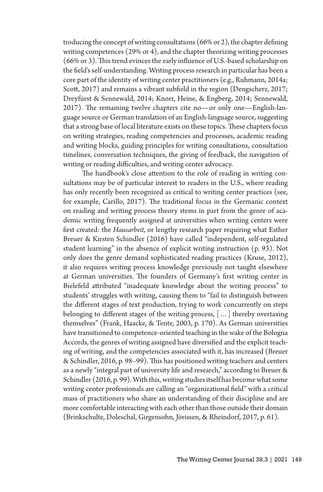troducing the concept of writing consultations (66% or 2), the chapter defining writing competences (29% or 4), and the chapter theorizing writing processes (66% or 3). This trend evinces the early influence of U.S.-based scholarship on the field's self-understanding. Writing process research in particular has been a core part of the identity of writing center practitioners (e.g., Ruhmann, 2014a; Scott, 2017) and remains a vibrant subfield in the region (Dengscherz, 2017; Dreyfürst & Sennewald, 2014; Knorr, Heine, & Engberg, 2014; Sennewald, 2017). The remaining twelve chapters cite no—or only one—English-language source or German translation of an English-language source, suggesting that a strong base of local literature exists on these topics. These chapters focus on writing strategies, reading competencies and processes, academic reading and writing blocks, guiding principles for writing consultations, consultation timelines, conversation techniques, the giving of feedback, the navigation of writing or reading difficulties, and writing center advocacy.

The handbook's close attention to the role of reading in writing consultations may be of particular interest to readers in the U.S., where reading has only recently been recognized as critical to writing center practices (see, for example, Carillo, 2017). The traditional focus in the Germanic context on reading and writing process theory stems in part from the genre of academic writing frequently assigned at universities when writing centers were first created: the *Hausarbeit,* or lengthy research paper requiring what Esther Breuer & Kirsten Schindler (2016) have called "independent, self-regulated student learning" in the absence of explicit writing instruction (p. 93). Not only does the genre demand sophisticated reading practices (Kruse, 2012), it also requires writing process knowledge previously not taught elsewhere at German universities. The founders of Germany's first writing center in Bielefeld attributed "inadequate knowledge about the writing process" to students' struggles with writing, causing them to "fail to distinguish between the different stages of text production, trying to work concurrently on steps belonging to different stages of the writing process, […] thereby overtaxing themselves" (Frank, Haacke, & Tente, 2003, p. 170). As German universities have transitioned to competence-oriented teaching in the wake of the Bologna Accords, the genres of writing assigned have diversified and the explicit teaching of writing, and the competencies associated with it, has increased (Breuer & Schindler, 2016, p. 98–99). This has positioned writing teachers and centers as a newly "integral part of university life and research," according to Breuer & Schindler (2016, p. 99). With this, writing studies itself has become what some writing center professionals are calling an "organizational field" with a critical mass of practitioners who share an understanding of their discipline and are more comfortable interacting with each other than those outside their domain (Brinkschulte, Doleschal, Girgensohn, Jörissen, & Rheindorf, 2017, p. 61).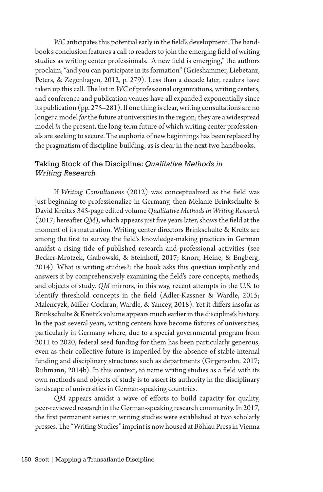*WC* anticipates this potential early in the field's development. The handbook's conclusion features a call to readers to join the emerging field of writing studies as writing center professionals. "A new field is emerging," the authors proclaim, "and you can participate in its formation" (Grieshammer, Liebetanz, Peters, & Zegenhagen, 2012, p. 279). Less than a decade later, readers have taken up this call. The list in *WC* of professional organizations, writing centers, and conference and publication venues have all expanded exponentially since its publication (pp. 275–281). If one thing is clear, writing consultations are no longer a model *for* the future at universities in the region; they are a widespread model *in* the present, the long-term future of which writing center professionals are seeking to secure. The euphoria of new beginnings has been replaced by the pragmatism of discipline-building, as is clear in the next two handbooks.

# Taking Stock of the Discipline: *Qualitative Methods in Writing Research*

If *Writing Consultations* (2012) was conceptualized as the field was just beginning to professionalize in Germany, then Melanie Brinkschulte & David Kreitz's 345-page edited volume *Qualitative Methods in Writing Research* (2017; hereafter *QM*), which appears just five years later, shows the field at the moment of its maturation. Writing center directors Brinkschulte & Kreitz are among the first to survey the field's knowledge-making practices in German amidst a rising tide of published research and professional activities (see Becker-Mrotzek, Grabowski, & Steinhoff, 2017; Knorr, Heine, & Engberg, 2014). What is writing studies?: the book asks this question implicitly and answers it by comprehensively examining the field's core concepts, methods, and objects of study. *QM* mirrors, in this way, recent attempts in the U.S. to identify threshold concepts in the field (Adler-Kassner & Wardle, 2015; Malencyzk, Miller-Cochran, Wardle, & Yancey, 2018). Yet it differs insofar as Brinkschulte & Kreitz's volume appears much earlier in the discipline's history. In the past several years, writing centers have become fixtures of universities, particularly in Germany where, due to a special governmental program from 2011 to 2020, federal seed funding for them has been particularly generous, even as their collective future is imperiled by the absence of stable internal funding and disciplinary structures such as departments (Girgensohn, 2017; Ruhmann, 2014b). In this context, to name writing studies as a field with its own methods and objects of study is to assert its authority in the disciplinary landscape of universities in German-speaking countries.

*QM* appears amidst a wave of efforts to build capacity for quality, peer-reviewed research in the German-speaking research community. In 2017, the first permanent series in writing studies were established at two scholarly presses. The "Writing Studies" imprint is now housed at Böhlau Press in Vienna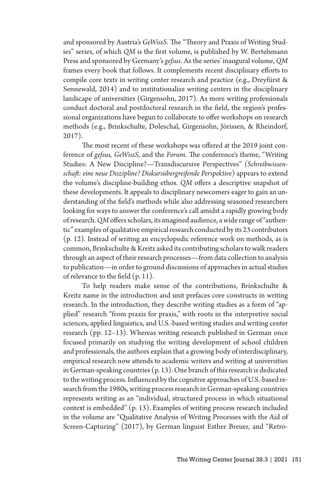and sponsored by Austria's *GeWissS*. The "Theory and Praxis of Writing Studies" series, of which *QM* is the first volume, is published by W. Bertelsmann Press and sponsored by Germany's *gefsus*. As the series' inaugural volume, *QM*  frames every book that follows. It complements recent disciplinary efforts to compile core texts in writing center research and practice (e.g., Dreyfürst & Sennewald, 2014) and to institutionalize writing centers in the disciplinary landscape of universities (Girgensohn, 2017). As more writing professionals conduct doctoral and postdoctoral research in the field, the region's professional organizations have begun to collaborate to offer workshops on research methods (e.g., Brinkschulte, Doleschal, Girgensohn, Jörissen, & Rheindorf, 2017).

The most recent of these workshops was offered at the 2019 joint conference of *gefsus, GeWissS,* and the *Forum*. The conference's theme, "Writing Studies: A New Discipline?—Transdiscursive Perspectives" *(Schreibwissenschaft: eine neue Diszipline? Diskursübergreifende Perspektive*) appears to extend the volume's discipline-building ethos. *QM* offers a descriptive snapshot of these developments. It appeals to disciplinary newcomers eager to gain an understanding of the field's methods while also addressing seasoned researchers looking for ways to answer the conference's call amidst a rapidly growing body of research. *QM* offers scholars, its imagined audience, a wide range of "authentic" examples of qualitative empirical research conducted by its 23 contributors (p. 12). Instead of writing an encyclopedic reference work on methods, as is common, Brinkschulte & Kreitz asked its contributing scholars to walk readers through an aspect of their research processes—from data collection to analysis to publication—in order to ground discussions of approaches in actual studies of relevance to the field (p. 11).

To help readers make sense of the contributions, Brinkschulte & Kreitz name in the introduction and unit prefaces core constructs in writing research. In the introduction, they describe writing studies as a form of "applied" research "from praxis for praxis," with roots in the interpretive social sciences, applied linguistics, and U.S.-based writing studies and writing center research (pp. 12–13). Whereas writing research published in German once focused primarily on studying the writing development of school children and professionals, the authors explain that a growing body of interdisciplinary, empirical research now attends to academic writers and writing at universities in German-speaking countries (p. 13). One branch of this research is dedicated to the writing process. Influenced by the cognitive approaches of U.S.-based research from the 1980s, writing process research in German-speaking countries represents writing as an "individual, structured process in which situational context is embedded" (p. 13). Examples of writing process research included in the volume are "Qualitative Analysis of Writing Processes with the Aid of Screen-Capturing" (2017), by German linguist Esther Breuer, and "Retro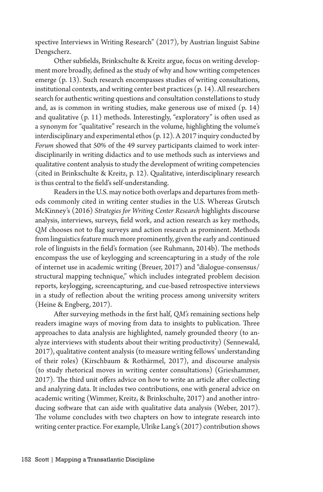spective Interviews in Writing Research" (2017), by Austrian linguist Sabine Dengscherz.

Other subfields, Brinkschulte & Kreitz argue, focus on writing development more broadly, defined as the study of why and how writing competences emerge (p. 13). Such research encompasses studies of writing consultations, institutional contexts, and writing center best practices (p. 14). All researchers search for authentic writing questions and consultation constellations to study and, as is common in writing studies, make generous use of mixed (p. 14) and qualitative (p. 11) methods. Interestingly, "exploratory" is often used as a synonym for "qualitative" research in the volume, highlighting the volume's interdisciplinary and experimental ethos (p. 12). A 2017 inquiry conducted by *Forum* showed that 50% of the 49 survey participants claimed to work interdisciplinarily in writing didactics and to use methods such as interviews and qualitative content analysis to study the development of writing competencies (cited in Brinkschulte & Kreitz, p. 12). Qualitative, interdisciplinary research is thus central to the field's self-understanding.

Readers in the U.S. may notice both overlaps and departures from methods commonly cited in writing center studies in the U.S. Whereas Grutsch McKinney's (2016) *Strategies for Writing Center Research* highlights discourse analysis, interviews, surveys, field work, and action research as key methods, *QM* chooses not to flag surveys and action research as prominent. Methods from linguistics feature much more prominently, given the early and continued role of linguists in the field's formation (see Ruhmann, 2014b). The methods encompass the use of keylogging and screencapturing in a study of the role of internet use in academic writing (Breuer, 2017) and "dialogue-consensus/ structural mapping technique," which includes integrated problem decision reports, keylogging, screencapturing, and cue-based retrospective interviews in a study of reflection about the writing process among university writers (Heine & Engberg, 2017).

After surveying methods in the first half, *QM's* remaining sections help readers imagine ways of moving from data to insights to publication. Three approaches to data analysis are highlighted, namely grounded theory (to analyze interviews with students about their writing productivity) (Sennewald, 2017), qualitative content analysis (to measure writing fellows' understanding of their roles) (Kirschbaum & Rothärmel, 2017), and discourse analysis (to study rhetorical moves in writing center consultations) (Grieshammer, 2017). The third unit offers advice on how to write an article after collecting and analyzing data. It includes two contributions, one with general advice on academic writing (Wimmer, Kreitz, & Brinkschulte, 2017) and another introducing software that can aide with qualitative data analysis (Weber, 2017). The volume concludes with two chapters on how to integrate research into writing center practice. For example, Ulrike Lang's (2017) contribution shows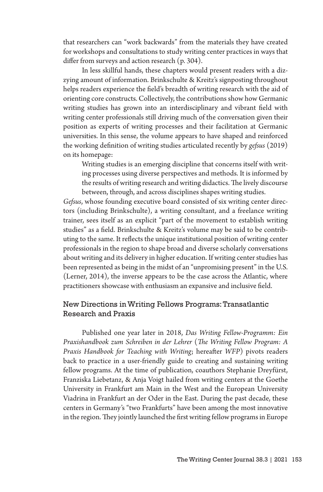that researchers can "work backwards" from the materials they have created for workshops and consultations to study writing center practices in ways that differ from surveys and action research (p. 304).

In less skillful hands, these chapters would present readers with a dizzying amount of information. Brinkschulte & Kreitz's signposting throughout helps readers experience the field's breadth of writing research with the aid of orienting core constructs. Collectively, the contributions show how Germanic writing studies has grown into an interdisciplinary and vibrant field with writing center professionals still driving much of the conversation given their position as experts of writing processes and their facilitation at Germanic universities. In this sense, the volume appears to have shaped and reinforced the working definition of writing studies articulated recently by *gefsus* (2019) on its homepage:

Writing studies is an emerging discipline that concerns itself with writing processes using diverse perspectives and methods. It is informed by the results of writing research and writing didactics. The lively discourse between, through, and across disciplines shapes writing studies.

*Gefsus*, whose founding executive board consisted of six writing center directors (including Brinkschulte), a writing consultant, and a freelance writing trainer, sees itself as an explicit "part of the movement to establish writing studies" as a field. Brinkschulte & Kreitz's volume may be said to be contributing to the same. It reflects the unique institutional position of writing center professionals in the region to shape broad and diverse scholarly conversations about writing and its delivery in higher education. If writing center studies has been represented as being in the midst of an "unpromising present" in the U.S. (Lerner, 2014), the inverse appears to be the case across the Atlantic, where practitioners showcase with enthusiasm an expansive and inclusive field.

## New Directions in Writing Fellows Programs: Transatlantic Research and Praxis

Published one year later in 2018, *Das Writing Fellow-Programm: Ein Praxishandbook zum Schreiben in der Lehrer* (*The Writing Fellow Program: A Praxis Handbook for Teaching with Writing*; hereafter *WFP*) pivots readers back to practice in a user-friendly guide to creating and sustaining writing fellow programs. At the time of publication, coauthors Stephanie Dreyfürst, Franziska Liebetanz, & Anja Voigt hailed from writing centers at the Goethe University in Frankfurt am Main in the West and the European University Viadrina in Frankfurt an der Oder in the East. During the past decade, these centers in Germany's "two Frankfurts" have been among the most innovative in the region. They jointly launched the first writing fellow programs in Europe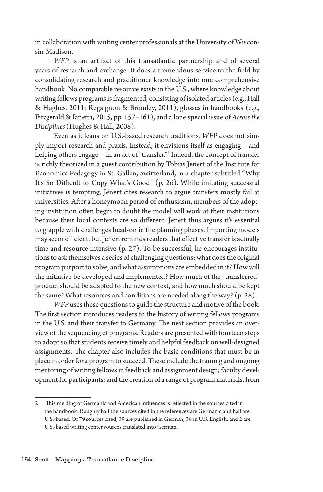in collaboration with writing center professionals at the University of Wisconsin-Madison.

*WFP* is an artifact of this transatlantic partnership and of several years of research and exchange. It does a tremendous service to the field by consolidating research and practitioner knowledge into one comprehensive handbook. No comparable resource exists in the U.S., where knowledge about writing fellows programs is fragmented, consisting of isolated articles (e.g., Hall & Hughes, 2011; Regaignon & Bromley, 2011), glosses in handbooks (e.g., Fitzgerald & Ianetta, 2015, pp. 157–161), and a lone special issue of *Across the Disciplines* (Hughes & Hall, 2008).

Even as it leans on U.S.-based research traditions, *WFP* does not simply import research and praxis. Instead, it envisions itself as engaging—and helping others engage—in an act of "transfer."2 Indeed, the concept of transfer is richly theorized in a guest contribution by Tobias Jenert of the Institute for Economics Pedagogy in St. Gallen, Switzerland, in a chapter subtitled "Why It's So Difficult to Copy What's Good" (p. 26). While imitating successful initiatives is tempting, Jenert cites research to argue transfers mostly fail at universities. After a honeymoon period of enthusiasm, members of the adopting institution often begin to doubt the model will work at their institutions because their local contexts are so different. Jenert thus argues it's essential to grapple with challenges head-on in the planning phases. Importing models may seem efficient, but Jenert reminds readers that effective transfer is actually time and resource intensive (p. 27). To be successful, he encourages institutions to ask themselves a series of challenging questions: what does the original program purport to solve, and what assumptions are embedded in it? How will the initiative be developed and implemented? How much of the "transferred" product should be adapted to the new context, and how much should be kept the same? What resources and conditions are needed along the way? (p. 28).

*WFP* uses these questions to guide the structure and motive of the book. The first section introduces readers to the history of writing fellows programs in the U.S. and their transfer to Germany. The next section provides an overview of the sequencing of programs. Readers are presented with fourteen steps to adopt so that students receive timely and helpful feedback on well-designed assignments. The chapter also includes the basic conditions that must be in place in order for a program to succeed. These include the training and ongoing mentoring of writing fellows in feedback and assignment design; faculty development for participants; and the creation of a range of program materials, from

<sup>2</sup> This melding of Germanic and American influences is reflected in the sources cited in the handbook. Roughly half the sources cited in the references are Germanic and half are U.S.-based. Of 79 sources cited, 39 are published in German, 38 in U.S. English, and 2 are U.S.-based writing center sources translated into German.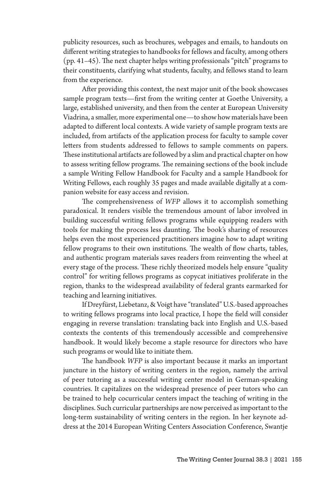publicity resources, such as brochures, webpages and emails, to handouts on different writing strategies to handbooks for fellows and faculty, among others (pp. 41–45). The next chapter helps writing professionals "pitch" programs to their constituents, clarifying what students, faculty, and fellows stand to learn from the experience.

After providing this context, the next major unit of the book showcases sample program texts—first from the writing center at Goethe University, a large, established university, and then from the center at European University Viadrina, a smaller, more experimental one—to show how materials have been adapted to different local contexts. A wide variety of sample program texts are included, from artifacts of the application process for faculty to sample cover letters from students addressed to fellows to sample comments on papers. These institutional artifacts are followed by a slim and practical chapter on how to assess writing fellow programs. The remaining sections of the book include a sample Writing Fellow Handbook for Faculty and a sample Handbook for Writing Fellows, each roughly 35 pages and made available digitally at a companion website for easy access and revision.

The comprehensiveness of *WFP* allows it to accomplish something paradoxical. It renders visible the tremendous amount of labor involved in building successful writing fellows programs while equipping readers with tools for making the process less daunting. The book's sharing of resources helps even the most experienced practitioners imagine how to adapt writing fellow programs to their own institutions. The wealth of flow charts, tables, and authentic program materials saves readers from reinventing the wheel at every stage of the process. These richly theorized models help ensure "quality control" for writing fellows programs as copycat initiatives proliferate in the region, thanks to the widespread availability of federal grants earmarked for teaching and learning initiatives.

If Dreyfürst, Liebetanz, & Voigt have "translated" U.S.-based approaches to writing fellows programs into local practice, I hope the field will consider engaging in reverse translation: translating back into English and U.S.-based contexts the contents of this tremendously accessible and comprehensive handbook. It would likely become a staple resource for directors who have such programs or would like to initiate them.

The handbook *WFP* is also important because it marks an important juncture in the history of writing centers in the region, namely the arrival of peer tutoring as a successful writing center model in German-speaking countries. It capitalizes on the widespread presence of peer tutors who can be trained to help cocurricular centers impact the teaching of writing in the disciplines. Such curricular partnerships are now perceived as important to the long-term sustainability of writing centers in the region. In her keynote address at the 2014 European Writing Centers Association Conference, Swantje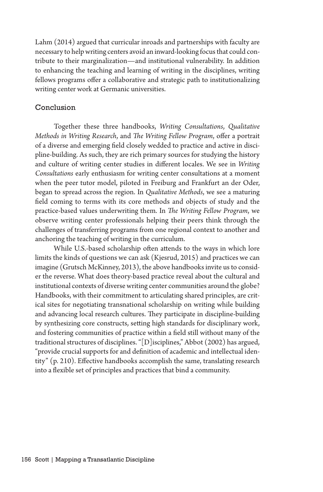Lahm (2014) argued that curricular inroads and partnerships with faculty are necessary to help writing centers avoid an inward-looking focus that could contribute to their marginalization—and institutional vulnerability. In addition to enhancing the teaching and learning of writing in the disciplines, writing fellows programs offer a collaborative and strategic path to institutionalizing writing center work at Germanic universities.

### Conclusion

Together these three handbooks, *Writing Consultations*, *Qualitative Methods in Writing Research*, and *The Writing Fellow Program*, offer a portrait of a diverse and emerging field closely wedded to practice and active in discipline-building. As such, they are rich primary sources for studying the history and culture of writing center studies in different locales. We see in *Writing Consultations* early enthusiasm for writing center consultations at a moment when the peer tutor model, piloted in Freiburg and Frankfurt an der Oder, began to spread across the region. In *Qualitative Methods*, we see a maturing field coming to terms with its core methods and objects of study and the practice-based values underwriting them. In *The Writing Fellow Program*, we observe writing center professionals helping their peers think through the challenges of transferring programs from one regional context to another and anchoring the teaching of writing in the curriculum.

While U.S.-based scholarship often attends to the ways in which lore limits the kinds of questions we can ask (Kjesrud, 2015) and practices we can imagine (Grutsch McKinney, 2013), the above handbooks invite us to consider the reverse. What does theory-based practice reveal about the cultural and institutional contexts of diverse writing center communities around the globe? Handbooks, with their commitment to articulating shared principles, are critical sites for negotiating transnational scholarship on writing while building and advancing local research cultures. They participate in discipline-building by synthesizing core constructs, setting high standards for disciplinary work, and fostering communities of practice within a field still without many of the traditional structures of disciplines. "[D]isciplines," Abbot (2002) has argued, "provide crucial supports for and definition of academic and intellectual identity" (p. 210). Effective handbooks accomplish the same, translating research into a flexible set of principles and practices that bind a community.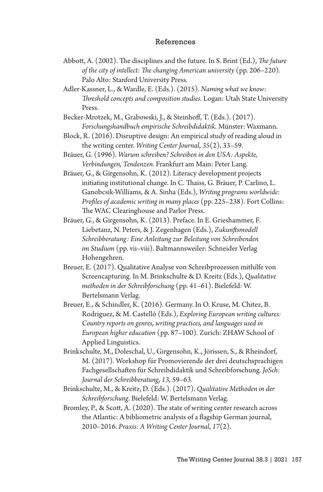#### References

- Abbott, A. (2002). The disciplines and the future. In S. Brint (Ed.), *The future of the city of intellect: The changing American university* (pp. 206–220). Palo Alto: Stanford University Press.
- Adler-Kassner, L., & Wardle, E. (Eds.). (2015). *Naming what we know: Threshold concepts and composition studies*. Logan: Utah State University Press.
- Becker-Mrotzek, M., Grabowski, J., & Steinhoff, T. (Eds.). (2017). *Forschungshandbuch empirische Schreibdidaktik*. Münster: Waxmann.
- Block, R. (2016). Disruptive design: An empirical study of reading aloud in the writing center. *Writing Center Journal*, *35*(2), 33–59.
- Bräuer, G. (1996). *Warum schreiben? Schreiben in den USA: Aspekte, Verbindungen, Tendenzen.* Frankfurt am Main: Peter Lang.
- Bräuer, G., & Girgensohn, K. (2012). Literacy development projects initiating institutional change. In C. Thaiss, G. Bräuer, P. Carlino, L. Ganobcsik-Williams, & A. Sinha (Eds.), *Writing programs worldwide: Profiles of academic writing in many places* (pp. 225–238). Fort Collins: The WAC Clearinghouse and Parlor Press.
- Bräuer, G., & Girgensohn, K. (2013). Preface. In E. Grieshammer, F. Liebetanz, N. Peters, & J. Zegenhagen (Eds.), *Zukunftsmodell Schreibberatung: Eine Anleitung zur Beleitung von Schreibenden im Studium* (pp. vii–viii). Baltmannsweiler: Schneider Verlag Hohengehren.
- Breuer, E. (2017). Qualitative Analyse von Schreibprozessen mithilfe von Screencapturing. In M. Brinkschulte & D. Kreitz (Eds.), *Qualitative methoden in der Schreibforschung* (pp. 41–61). Bielefeld: W. Bertelsmann Verlag.
- Breuer, E., & Schindler, K. (2016). Germany. In O. Kruse, M. Chitez, B. Rodriguez, & M. Castelló (Eds.), *Exploring European writing cultures: Country reports on genres, writing practices, and languages used in European higher education* (pp. 87–100). Zurich: ZHAW School of Applied Linguistics.
- Brinkschulte, M., Doleschal, U., Girgensohn, K., Jörissen, S., & Rheindorf, M. (2017). Workshop für Promovierende der drei deutschsprachigen Fachgesellschaften für Schreibdidaktik und Schreibforschung. *JoSch: Journal der Schreibberatung*, *13*, 59–63.
- Brinkschulte, M., & Kreitz, D. (Eds.). (2017). *Qualitative Methoden in der Schreibforschung*. Bielefeld: W. Bertelsmann Verlag.
- Bromley, P., & Scott, A. (2020). The state of writing center research across the Atlantic: A bibliometric analysis of a flagship German journal, 2010–2016. *Praxis: A Writing Center Journal*, *17*(2).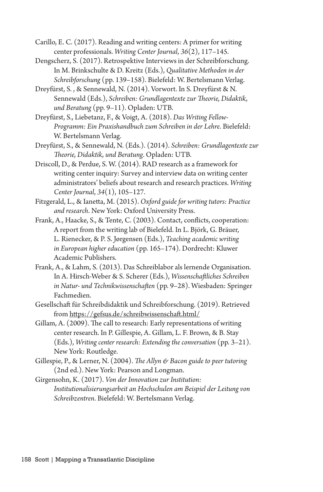Carillo, E. C. (2017). Reading and writing centers: A primer for writing center professionals. *Writing Center Journal*, *36*(2), 117–145.

- Dengscherz, S. (2017). Retrospektive Interviews in der Schreibforschung. In M. Brinkschulte & D. Kreitz (Eds.), *Qualitative Methoden in der Schreibforschung* (pp. 139–158). Bielefeld: W. Bertelsmann Verlag.
- Dreyfürst, S. , & Sennewald, N. (2014). Vorwort. In S. Dreyfürst & N. Sennewald (Eds.), *Schreiben: Grundlagentexte zur Theorie, Didaktik, und Beratung* (pp. 9–11). Opladen: UTB.
- Dreyfürst, S., Liebetanz, F., & Voigt, A. (2018). *Das Writing Fellow-Programm: Ein Praxishandbuch zum Schreiben in der Lehre*. Bielefeld: W. Bertelsmann Verlag.
- Dreyfürst, S., & Sennewald, N. (Eds.). (2014). *Schreiben: Grundlagentexte zur Theorie, Didaktik, und Beratung*. Opladen: UTB.
- Driscoll, D., & Perdue, S. W. (2014). RAD research as a framework for writing center inquiry: Survey and interview data on writing center administrators' beliefs about research and research practices. *Writing Center Journal*, *34*(1), 105–127.
- Fitzgerald, L., & Ianetta, M. (2015). *Oxford guide for writing tutors: Practice and research*. New York: Oxford University Press.
- Frank, A., Haacke, S., & Tente, C. (2003). Contact, conflicts, cooperation: A report from the writing lab of Bielefeld. In L. Björk, G. Bräuer, L. Rienecker, & P. S. Jørgensen (Eds.), *Teaching academic writing in European higher education* (pp. 165–174). Dordrecht: Kluwer Academic Publishers.
- Frank, A., & Lahm, S. (2013). Das Schreiblabor als lernende Organisation. In A. Hirsch-Weber & S. Scherer (Eds.), *Wissenschaftliches Schreiben in Natur- und Technikwissenschaften* (pp. 9–28). Wiesbaden: Springer Fachmedien.
- Gesellschaft für Schreibdidaktik und Schreibforschung. (2019). Retrieved from https://gefsus.de/schreibwissenschaft.html/
- Gillam, A. (2009). The call to research: Early representations of writing center research. In P. Gillespie, A. Gillam, L. F. Brown, & B. Stay (Eds.), *Writing center research: Extending the conversation* (pp. 3–21). New York: Routledge.
- Gillespie, P., & Lerner, N. (2004). *The Allyn & Bacon guide to peer tutoring* (2nd ed.). New York: Pearson and Longman.
- Girgensohn, K. (2017). *Von der Innovation zur Institution: Institutionalisierungsarbeit an Hochschulen am Beispiel der Leitung von Schreibzentren*. Bielefeld: W. Bertelsmann Verlag.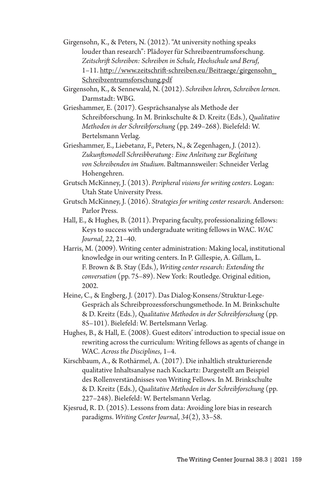- Girgensohn, K., & Peters, N. (2012). "At university nothing speaks louder than research": Plädoyer für Schreibzentrumsforschung. *Zeitschrift Schreiben: Schreiben in Schule, Hochschule und Beruf*, 1–11. http://www.zeitschrift-schreiben.eu/Beitraege/girgensohn\_ Schreibzentrumsforschung.pdf
- Girgensohn, K., & Sennewald, N. (2012). *Schreiben lehren, Schreiben lernen*. Darmstadt: WBG.
- Grieshammer, E. (2017). Gesprächsanalyse als Methode der Schreibforschung. In M. Brinkschulte & D. Kreitz (Eds.), *Qualitative Methoden in der Schreibforschung* (pp. 249–268). Bielefeld: W. Bertelsmann Verlag.
- Grieshammer, E., Liebetanz, F., Peters, N., & Zegenhagen, J. (2012). *Zukunftsmodell Schreibberatung: Eine Anleitung zur Begleitung von Schreibenden im Studium*. Baltmannsweiler: Schneider Verlag Hohengehren.
- Grutsch McKinney, J. (2013). *Peripheral visions for writing centers*. Logan: Utah State University Press.
- Grutsch McKinney, J. (2016). *Strategies for writing center research*. Anderson: Parlor Press.
- Hall, E., & Hughes, B. (2011). Preparing faculty, professionalizing fellows: Keys to success with undergraduate writing fellows in WAC. *WAC Journal*, *22*, 21–40.
- Harris, M. (2009). Writing center administration: Making local, institutional knowledge in our writing centers. In P. Gillespie, A. Gillam, L. F. Brown & B. Stay (Eds.), *Writing center research: Extending the conversation* (pp. 75–89). New York: Routledge. Original edition, 2002.
- Heine, C., & Engberg, J. (2017). Das Dialog-Konsens/Struktur-Lege-Gespräch als Schreibprozessforschungsmethode. In M. Brinkschulte & D. Kreitz (Eds.), *Qualitative Methoden in der Schreibforschung* (pp. 85–101). Bielefeld: W. Bertelsmann Verlag.
- Hughes, B., & Hall, E. (2008). Guest editors' introduction to special issue on rewriting across the curriculum: Writing fellows as agents of change in WAC. *Across the Disciplines*, 1–4.
- Kirschbaum, A., & Rothärmel, A. (2017). Die inhaltlich strukturierende qualitative Inhaltsanalyse nach Kuckartz: Dargestellt am Beispiel des Rollenverständnisses von Writing Fellows. In M. Brinkschulte & D. Kreitz (Eds.), *Qualitative Methoden in der Schreibforschung* (pp. 227–248). Bielefeld: W. Bertelsmann Verlag.
- Kjesrud, R. D. (2015). Lessons from data: Avoiding lore bias in research paradigms. *Writing Center Journal*, *34*(2), 33–58.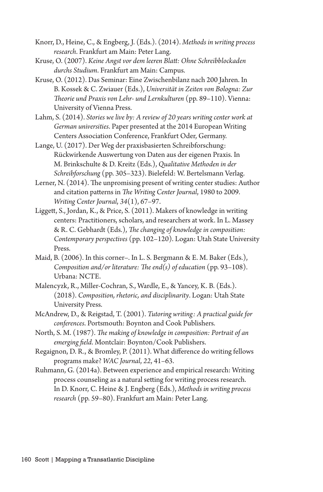Knorr, D., Heine, C., & Engberg, J. (Eds.). (2014). *Methods in writing process research*. Frankfurt am Main: Peter Lang.

Kruse, O. (2007). *Keine Angst vor dem leeren Blatt: Ohne Schreibblockaden durchs Studium*. Frankfurt am Main: Campus.

Kruse, O. (2012). Das Seminar: Eine Zwischenbilanz nach 200 Jahren. In B. Kossek & C. Zwiauer (Eds.), *Universität in Zeiten von Bologna: Zur Theorie und Praxis von Lehr- und Lernkulturen* (pp. 89–110). Vienna: University of Vienna Press.

Lahm, S. (2014). *Stories we live by: A review of 20 years writing center work at German universities*. Paper presented at the 2014 European Writing Centers Association Conference, Frankfurt Oder, Germany.

Lange, U. (2017). Der Weg der praxisbasierten Schreibforschung: Rückwirkende Auswertung von Daten aus der eigenen Praxis. In M. Brinkschulte & D. Kreitz (Eds.), *Qualitative Methoden in der Schreibforschung* (pp. 305–323). Bielefeld: W. Bertelsmann Verlag.

Lerner, N. (2014). The unpromising present of writing center studies: Author and citation patterns in *The Writing Center Journal*, 1980 to 2009. *Writing Center Journal*, *34*(1), 67–97.

Liggett, S., Jordan, K., & Price, S. (2011). Makers of knowledge in writing centers: Practitioners, scholars, and researchers at work. In L. Massey & R. C. Gebhardt (Eds.), *The changing of knowledge in composition: Contemporary perspectives* (pp. 102–120). Logan: Utah State University Press.

Maid, B. (2006). In this corner–. In L. S. Bergmann & E. M. Baker (Eds.), *Composition and/or literature: The end(s) of education* (pp. 93–108). Urbana: NCTE.

Malencyzk, R., Miller-Cochran, S., Wardle, E., & Yancey, K. B. (Eds.). (2018). *Composition, rhetoric, and disciplinarity*. Logan: Utah State University Press.

McAndrew, D., & Reigstad, T. (2001). *Tutoring writing: A practical guide for conferences*. Portsmouth: Boynton and Cook Publishers.

North, S. M. (1987). *The making of knowledge in composition: Portrait of an emerging field*. Montclair: Boynton/Cook Publishers.

Regaignon, D. R., & Bromley, P. (2011). What difference do writing fellows programs make? *WAC Journal*, *22*, 41–63.

Ruhmann, G. (2014a). Between experience and empirical research: Writing process counseling as a natural setting for writing process research. In D. Knorr, C. Heine & J. Engberg (Eds.), *Methods in writing process research* (pp. 59–80). Frankfurt am Main: Peter Lang.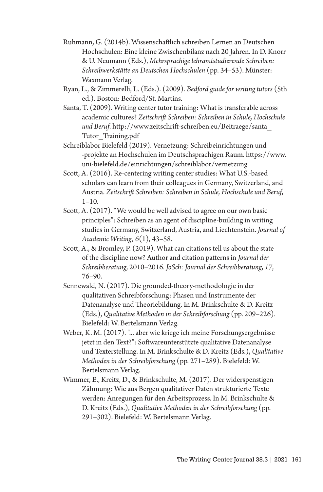- Ruhmann, G. (2014b). Wissenschaftlich schreiben Lernen an Deutschen Hochschulen: Eine kleine Zwischenbilanz nach 20 Jahren. In D. Knorr & U. Neumann (Eds.), *Mehrsprachige lehramtstudierende Schreiben: Schreibwerkstätte an Deutschen Hochschulen* (pp. 34–53). Münster: Waxmann Verlag.
- Ryan, L., & Zimmerelli, L. (Eds.). (2009). *Bedford guide for writing tutors* (5th ed.). Boston: Bedford/St. Martins.
- Santa, T. (2009). Writing center tutor training: What is transferable across academic cultures? *Zeitschrift Schreiben: Schreiben in Schule, Hochschule und Beruf*. http://www.zeitschrift-schreiben.eu/Beitraege/santa\_ Tutor Training.pdf
- Schreiblabor Bielefeld (2019). Vernetzung: Schreibeinrichtungen und -projekte an Hochschulen im Deutschsprachigen Raum. https://www. uni-bielefeld.de/einrichtungen/schreiblabor/vernetzung
- Scott, A. (2016). Re-centering writing center studies: What U.S.-based scholars can learn from their colleagues in Germany, Switzerland, and Austria. *Zeitschrift Schreiben: Schreiben in Schule, Hochschule und Beruf*,  $1 - 10.$
- Scott, A. (2017). "We would be well advised to agree on our own basic principles": Schreiben as an agent of discipline-building in writing studies in Germany, Switzerland, Austria, and Liechtenstein. *Journal of Academic Writing, 6*(1), 43–58.
- Scott, A., & Bromley, P. (2019). What can citations tell us about the state of the discipline now? Author and citation patterns in *Journal der Schreibberatung*, 2010–2016. *JoSch: Journal der Schreibberatung*, *17*, 76–90.
- Sennewald, N. (2017). Die grounded-theory-methodologie in der qualitativen Schreibforschung: Phasen und Instrumente der Datenanalyse und Theoriebildung. In M. Brinkschulte & D. Kreitz (Eds.), *Qualitative Methoden in der Schreibforschung* (pp. 209–226). Bielefeld: W. Bertelsmann Verlag.
- Weber, K. M. (2017). "... aber wie kriege ich meine Forschungsergebnisse jetzt in den Text?": Softwareunterstützte qualitative Datenanalyse und Texterstellung. In M. Brinkschulte & D. Kreitz (Eds.), *Qualitative Methoden in der Schreibforschung* (pp. 271–289). Bielefeld: W. Bertelsmann Verlag.
- Wimmer, E., Kreitz, D., & Brinkschulte, M. (2017). Der widerspenstigen Zähmung: Wie aus Bergen qualitativer Daten strukturierte Texte werden: Anregungen für den Arbeitsprozess. In M. Brinkschulte & D. Kreitz (Eds.), *Qualitative Methoden in der Schreibforschung* (pp. 291–302). Bielefeld: W. Bertelsmann Verlag.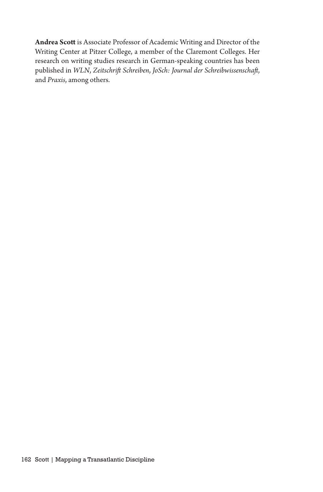**Andrea Scott** is Associate Professor of Academic Writing and Director of the Writing Center at Pitzer College, a member of the Claremont Colleges. Her research on writing studies research in German-speaking countries has been published in *WLN*, *Zeitschrift Schreiben*, *JoSch: Journal der Schreibwissenschaft*, and *Praxis*, among others.